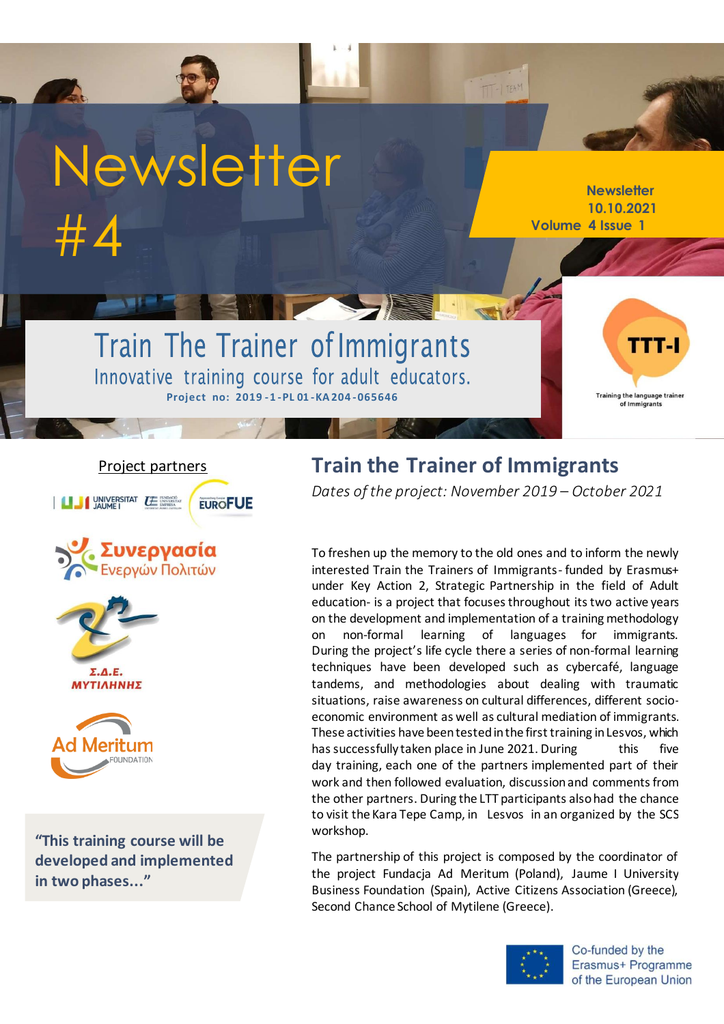# Newsletter #4

**Newsletter 10.10.2021 Volume 4 Issue 1**

# Train The Trainer of Immigrants Innovative training course for adult educators. **Project no: 2019 -1 -PL 01 -KA204 -065646**

**Training the langu** age traine of Immigrants

#### Project partners

UNIVERSITAT LE ENTRENADO **EUROFUE** 









**"This training course will be developed and implemented in two phases..."**

# **Train the Trainer of Immigrants**

*Dates of the project: November 2019 – October 2021* 

 $T - 1$  TEAM

To freshen up the memory to the old ones and to inform the newly interested Train the Trainers of Immigrants- funded by Erasmus+ under Key Action 2, Strategic Partnership in the field of Adult education- is a project that focuses throughout its two active years on the development and implementation of a training methodology on non-formal learning of languages for immigrants. During the project's life cycle there a series of non-formal learning techniques have been developed such as cybercafé, language tandems, and methodologies about dealing with traumatic situations, raise awareness on cultural differences, different socioeconomic environment as well as cultural mediation of immigrants. These activities have been tested in the first training in Lesvos, which has successfully taken place in June 2021. During this five day training, each one of the partners implemented part of their work and then followed evaluation, discussion and comments from the other partners. During the LTT participants alsohad the chance to visit the Kara Tepe Camp, in Lesvos in an organized by the SCS workshop.

The partnership of this project is composed by the coordinator of the project Fundacja Ad Meritum (Poland), Jaume I University Business Foundation (Spain), Active Citizens Association (Greece), Second Chance School of Mytilene (Greece).



Co-funded by the Erasmus+ Programme of the European Union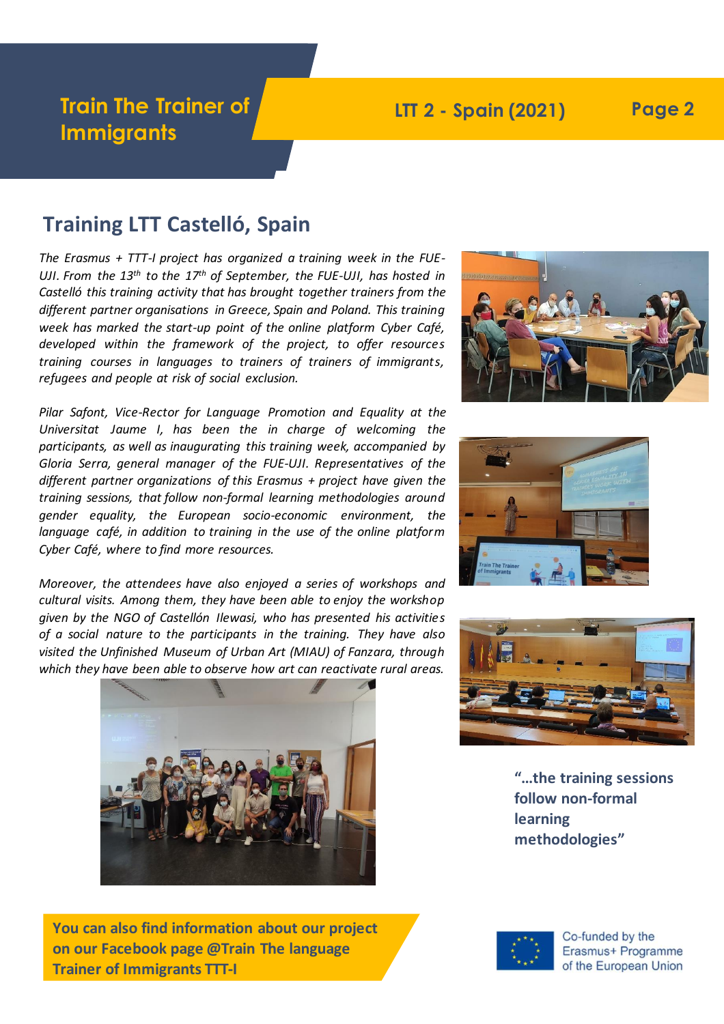# **Train The Trainer of Immigrants**

### **LTT 2 - Spain (2021) Page 2**

#### **Training LTT Castelló, Spain**

*The Erasmus + TTT-I project has organized a training week in the FUE-UJI. From the 13th to the 17th of September, the FUE-UJI, has hosted in Castelló this training activity that has brought together trainers from the different partner organisations in Greece, Spain and Poland. This training week has marked the start-up point of the online platform Cyber Café, developed within the framework of the project, to offer resources training courses in languages to trainers of trainers of immigrants, refugees and people at risk of social exclusion.*

*Please describing picture. different partner organizations of this Erasmus + project have given the Please describing picture. gender equality, the European socio-economic environment, the Pilar Safont, Vice-Rector for Language Promotion and Equality at the Universitat Jaume I, has been the in charge of welcoming the participants, as well as inaugurating this training week, accompanied by Gloria Serra, general manager of the FUE-UJI. Representatives of the training sessions, that follow non-formal learning methodologies around language café, in addition to training in the use of the online platform Cyber Café, where to find more resources.*

*Moreover, the attendees have also enjoyed a series of workshops and cultural visits. Among them, they have been able to enjoy the workshop given by the NGO of Castellón Ilewasi, who has presented his activities of a social nature to the participants in the training. They have also visited the Unfinished Museum of Urban Art (MIAU) of Fanzara, through which they have been able to observe how art can reactivate rural areas.*



**You can also find information about our project on our Facebook page @Train The language Trainer of Immigrants TTT-I**



**4**





**"…the training sessions follow non-formal learning methodologies"**